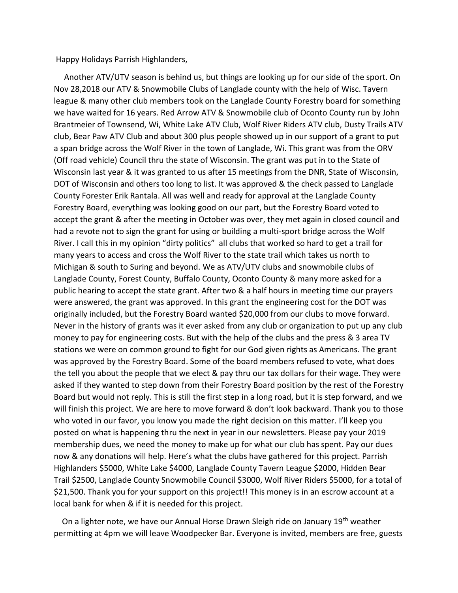Happy Holidays Parrish Highlanders,

 Another ATV/UTV season is behind us, but things are looking up for our side of the sport. On Nov 28,2018 our ATV & Snowmobile Clubs of Langlade county with the help of Wisc. Tavern league & many other club members took on the Langlade County Forestry board for something we have waited for 16 years. Red Arrow ATV & Snowmobile club of Oconto County run by John Brantmeier of Townsend, Wi, White Lake ATV Club, Wolf River Riders ATV club, Dusty Trails ATV club, Bear Paw ATV Club and about 300 plus people showed up in our support of a grant to put a span bridge across the Wolf River in the town of Langlade, Wi. This grant was from the ORV (Off road vehicle) Council thru the state of Wisconsin. The grant was put in to the State of Wisconsin last year & it was granted to us after 15 meetings from the DNR, State of Wisconsin, DOT of Wisconsin and others too long to list. It was approved & the check passed to Langlade County Forester Erik Rantala. All was well and ready for approval at the Langlade County Forestry Board, everything was looking good on our part, but the Forestry Board voted to accept the grant & after the meeting in October was over, they met again in closed council and had a revote not to sign the grant for using or building a multi-sport bridge across the Wolf River. I call this in my opinion "dirty politics" all clubs that worked so hard to get a trail for many years to access and cross the Wolf River to the state trail which takes us north to Michigan & south to Suring and beyond. We as ATV/UTV clubs and snowmobile clubs of Langlade County, Forest County, Buffalo County, Oconto County & many more asked for a public hearing to accept the state grant. After two & a half hours in meeting time our prayers were answered, the grant was approved. In this grant the engineering cost for the DOT was originally included, but the Forestry Board wanted \$20,000 from our clubs to move forward. Never in the history of grants was it ever asked from any club or organization to put up any club money to pay for engineering costs. But with the help of the clubs and the press & 3 area TV stations we were on common ground to fight for our God given rights as Americans. The grant was approved by the Forestry Board. Some of the board members refused to vote, what does the tell you about the people that we elect & pay thru our tax dollars for their wage. They were asked if they wanted to step down from their Forestry Board position by the rest of the Forestry Board but would not reply. This is still the first step in a long road, but it is step forward, and we will finish this project. We are here to move forward & don't look backward. Thank you to those who voted in our favor, you know you made the right decision on this matter. I'll keep you posted on what is happening thru the next in year in our newsletters. Please pay your 2019 membership dues, we need the money to make up for what our club has spent. Pay our dues now & any donations will help. Here's what the clubs have gathered for this project. Parrish Highlanders \$5000, White Lake \$4000, Langlade County Tavern League \$2000, Hidden Bear Trail \$2500, Langlade County Snowmobile Council \$3000, Wolf River Riders \$5000, for a total of \$21,500. Thank you for your support on this project!! This money is in an escrow account at a local bank for when & if it is needed for this project.

On a lighter note, we have our Annual Horse Drawn Sleigh ride on January 19<sup>th</sup> weather permitting at 4pm we will leave Woodpecker Bar. Everyone is invited, members are free, guests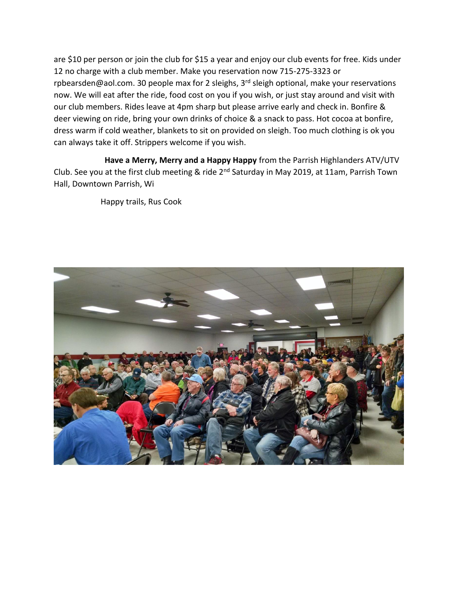are \$10 per person or join the club for \$15 a year and enjoy our club events for free. Kids under 12 no charge with a club member. Make you reservation now 715-275-3323 or rpbearsden@aol.com. 30 people max for 2 sleighs, 3<sup>rd</sup> sleigh optional, make your reservations now. We will eat after the ride, food cost on you if you wish, or just stay around and visit with our club members. Rides leave at 4pm sharp but please arrive early and check in. Bonfire & deer viewing on ride, bring your own drinks of choice & a snack to pass. Hot cocoa at bonfire, dress warm if cold weather, blankets to sit on provided on sleigh. Too much clothing is ok you can always take it off. Strippers welcome if you wish.

 **Have a Merry, Merry and a Happy Happy** from the Parrish Highlanders ATV/UTV Club. See you at the first club meeting & ride 2<sup>nd</sup> Saturday in May 2019, at 11am, Parrish Town Hall, Downtown Parrish, Wi

Happy trails, Rus Cook

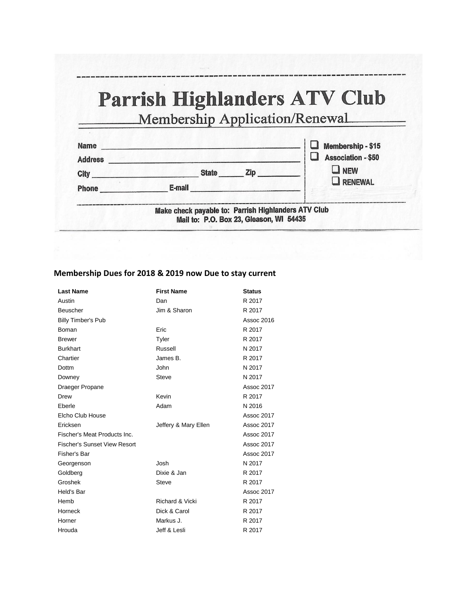## Parrish Highlanders ATV Club

Membership Application/Renewal

| <b>Name</b><br><b>Address</b> |                                                                                                | Membership - \$15<br>Association - \$50 |
|-------------------------------|------------------------------------------------------------------------------------------------|-----------------------------------------|
| City                          | <b>State</b><br>Zip                                                                            | $\Box$ NEW                              |
| <b>Phone</b>                  | E-mail                                                                                         | <b>RENEWAL</b>                          |
|                               | Make check payable to: Parrish Highlanders ATV Club<br>Mail to: P.O. Box 23, Gleason, WI 54435 |                                         |

## **Membership Dues for 2018 & 2019 now Due to stay current**

| <b>Last Name</b>                    | <b>First Name</b>          | <b>Status</b> |
|-------------------------------------|----------------------------|---------------|
| Austin                              | Dan                        | R 2017        |
| <b>Beuscher</b>                     | Jim & Sharon               | R 2017        |
| <b>Billy Timber's Pub</b>           |                            | Assoc 2016    |
| Boman                               | Eric                       | R 2017        |
| <b>Brewer</b>                       | Tyler                      | R 2017        |
| <b>Burkhart</b>                     | Russell                    | N 2017        |
| Chartier                            | James B.                   | R 2017        |
| Dottm                               | John                       | N 2017        |
| Downey                              | <b>Steve</b>               | N 2017        |
| Draeger Propane                     |                            | Assoc 2017    |
| Drew                                | Kevin                      | R 2017        |
| Eberle                              | Adam                       | N 2016        |
| Elcho Club House                    |                            | Assoc 2017    |
| Ericksen                            | Jeffery & Mary Ellen       | Assoc 2017    |
| Fischer's Meat Products Inc.        |                            | Assoc 2017    |
| <b>Fischer's Sunset View Resort</b> |                            | Assoc 2017    |
| Fisher's Bar                        |                            | Assoc 2017    |
| Georgenson                          | Josh                       | N 2017        |
| Goldberg                            | Dixie & Jan                | R 2017        |
| Groshek                             | <b>Steve</b>               | R 2017        |
| Held's Bar                          |                            | Assoc 2017    |
| Hemb                                | <b>Richard &amp; Vicki</b> | R 2017        |
| Horneck                             | Dick & Carol               | R 2017        |
| Horner                              | Markus J.                  | R 2017        |
| Hrouda                              | Jeff & Lesli               | R 2017        |